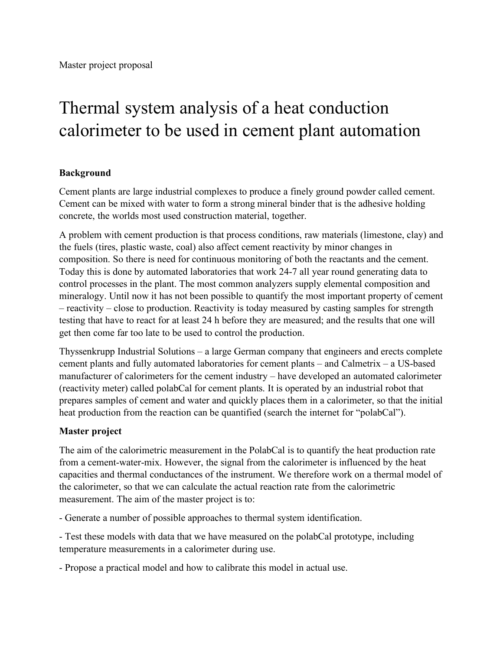## Thermal system analysis of a heat conduction calorimeter to be used in cement plant automation

## **Background**

Cement plants are large industrial complexes to produce a finely ground powder called cement. Cement can be mixed with water to form a strong mineral binder that is the adhesive holding concrete, the worlds most used construction material, together.

A problem with cement production is that process conditions, raw materials (limestone, clay) and the fuels (tires, plastic waste, coal) also affect cement reactivity by minor changes in composition. So there is need for continuous monitoring of both the reactants and the cement. Today this is done by automated laboratories that work 24-7 all year round generating data to control processes in the plant. The most common analyzers supply elemental composition and mineralogy. Until now it has not been possible to quantify the most important property of cement – reactivity – close to production. Reactivity is today measured by casting samples for strength testing that have to react for at least 24 h before they are measured; and the results that one will get then come far too late to be used to control the production.

Thyssenkrupp Industrial Solutions – a large German company that engineers and erects complete cement plants and fully automated laboratories for cement plants – and Calmetrix – a US-based manufacturer of calorimeters for the cement industry – have developed an automated calorimeter (reactivity meter) called polabCal for cement plants. It is operated by an industrial robot that prepares samples of cement and water and quickly places them in a calorimeter, so that the initial heat production from the reaction can be quantified (search the internet for "polabCal").

## **Master project**

The aim of the calorimetric measurement in the PolabCal is to quantify the heat production rate from a cement-water-mix. However, the signal from the calorimeter is influenced by the heat capacities and thermal conductances of the instrument. We therefore work on a thermal model of the calorimeter, so that we can calculate the actual reaction rate from the calorimetric measurement. The aim of the master project is to:

- Generate a number of possible approaches to thermal system identification.

- Test these models with data that we have measured on the polabCal prototype, including temperature measurements in a calorimeter during use.

- Propose a practical model and how to calibrate this model in actual use.